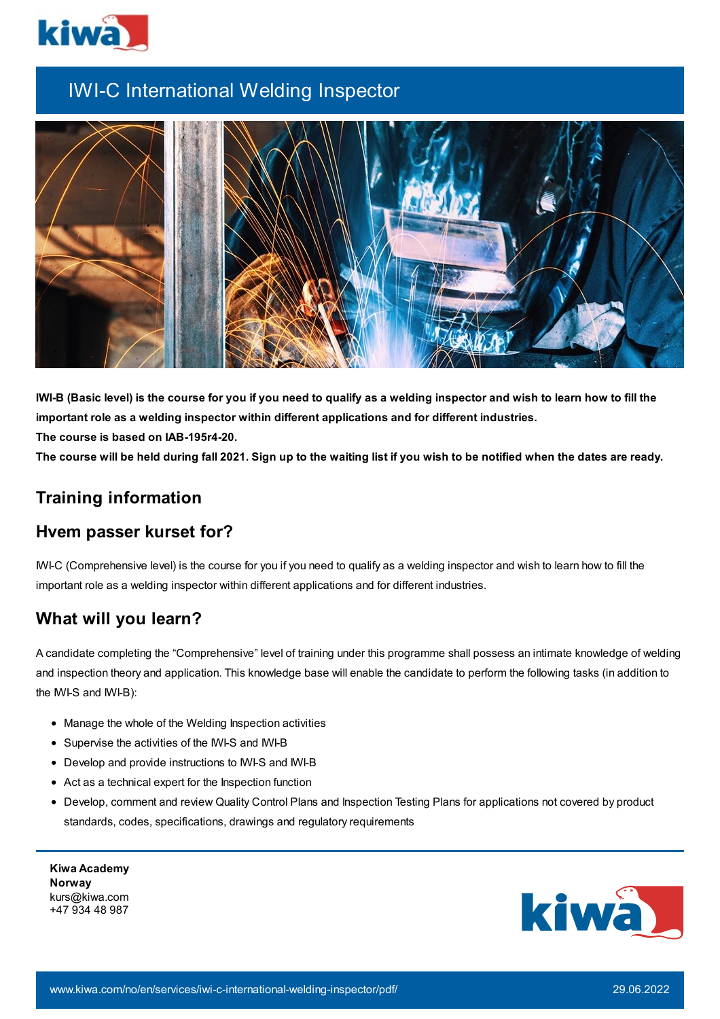

# IWI-C International Welding Inspector



IWI-B (Basic level) is the course for you if you need to qualify as a welding inspector and wish to learn how to fill the **important role as a welding inspector within different applications and for different industries. The course is based on IAB-195r4-20.**

The course will be held during fall 2021. Sign up to the waiting list if you wish to be notified when the dates are ready.

## **Training information**

## **Hvem passer kurset for?**

IWI-C (Comprehensive level) is the course for you if you need to qualify as a welding inspector and wish to learn how to fill the important role as a welding inspector within different applications and for different industries.

# **What will you learn?**

A candidate completing the "Comprehensive" level of training under this programme shall possess an intimate knowledge of welding and inspection theory and application. This knowledge base will enable the candidate to perform the following tasks (in addition to the IWI-S and IWI-B):

- Manage the whole of the Welding Inspection activities
- Supervise the activities of the IWI-S and IWI-B
- Develop and provide instructions to IWI-S and IWI-B
- Act as a technical expert for the Inspection function
- Develop, comment and review Quality Control Plans and Inspection Testing Plans for applications not covered by product standards, codes, specifications, drawings and regulatory requirements

**Kiwa Academy Norway** kurs@kiwa.com +47 934 48 987

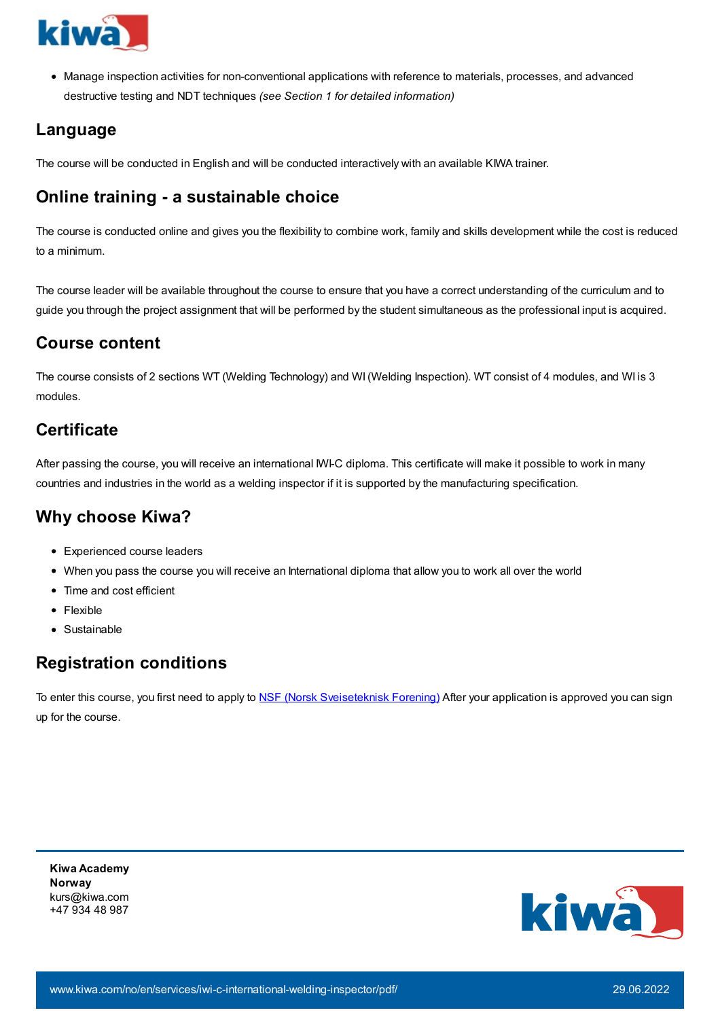

Manage inspection activities for non-conventional applications with reference to materials, processes, and advanced destructive testing and NDT techniques *(see Section 1 for detailed information)*

## **Language**

The course will be conducted in English and will be conducted interactively with an available KIWA trainer.

# **Online training - a sustainable choice**

The course is conducted online and gives you the flexibility to combine work, family and skills development while the cost is reduced to a minimum.

The course leader will be available throughout the course to ensure that you have a correct understanding of the curriculum and to guide you through the project assignment that will be performed by the student simultaneous as the professional input is acquired.

#### **Course content**

The course consists of 2 sections WT (Welding Technology) and WI (Welding Inspection). WT consist of 4 modules, and WI is 3 modules.

## **Certificate**

After passing the course, you will receive an international IWI-C diploma. This certificate will make it possible to work in many countries and industries in the world as a welding inspector if it is supported by the manufacturing specification.

#### **Why choose Kiwa?**

- Experienced course leaders
- When you pass the course you will receive an International diploma that allow you to work all over the world
- Time and cost efficient
- Flexible
- Sustainable

## **Registration conditions**

To enter this course, you first need to apply to NSF (Norsk [Sveiseteknisk](https://www.sveis.no/) Forening) After your application is approved you can sign up for the course.

**Kiwa Academy Norway** kurs@kiwa.com +47 934 48 987

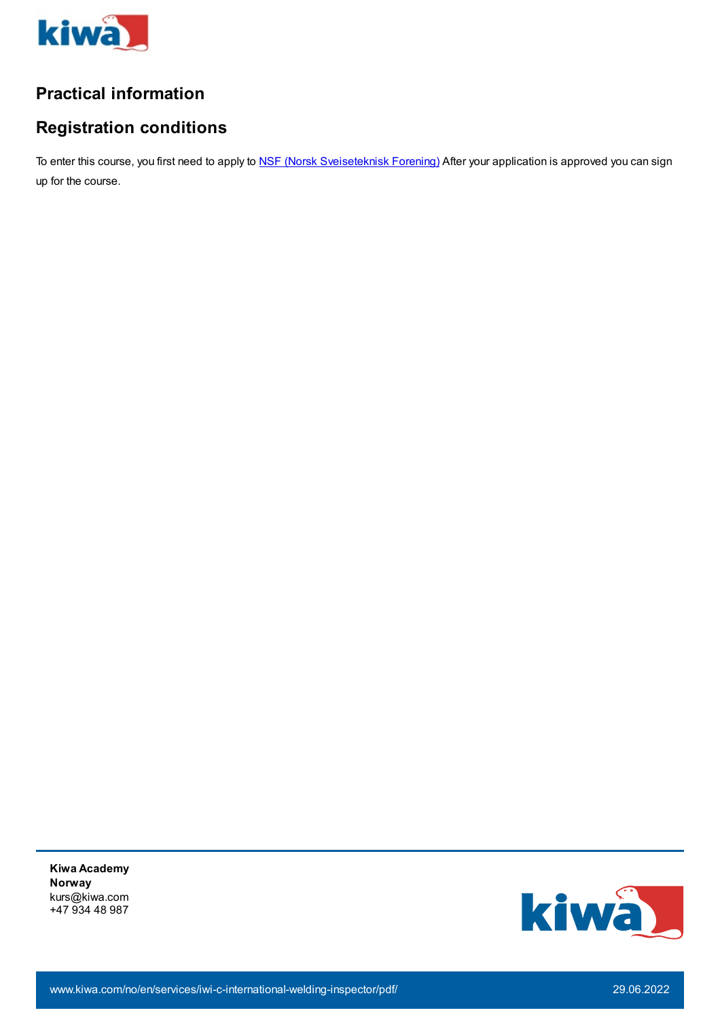

## **Practical information**

## **Registration conditions**

To enter this course, you first need to apply to NSF (Norsk [Sveiseteknisk](https://www.sveis.no/) Forening) After your application is approved you can sign up for the course.

**Kiwa Academy Norway** kurs@kiwa.com +47 934 48 987